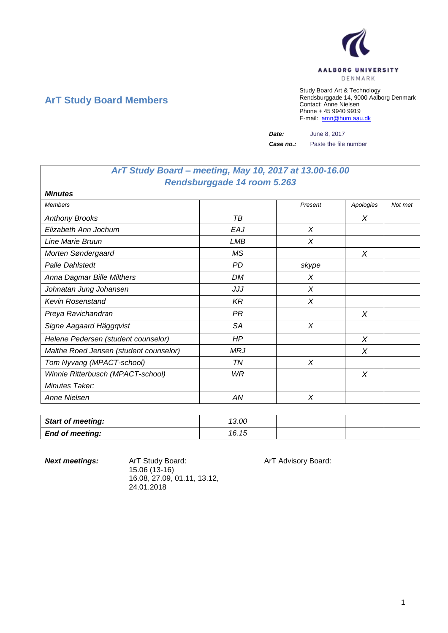

## **ArT Study Board Members**

Study Board Art & Technology Rendsburggade 14, 9000 Aalborg Denmark Contact: Anne Nielsen Phone + 45 9940 9919 E-mail: [amn@hum.aau.dk](mailto:amn@hum.aau.dk)

*Date:* June 8, 2017

*Case no.:* Paste the file number

## *ArT Study Board – meeting, May 10, 2017 at 13.00-16.00 Rendsburggade 14 room 5.263*

| <b>Minutes</b>                         |            |         |           |         |
|----------------------------------------|------------|---------|-----------|---------|
| <b>Members</b>                         |            | Present | Apologies | Not met |
| <b>Anthony Brooks</b>                  | ТB         |         | X         |         |
| Elizabeth Ann Jochum                   | EAJ        | X       |           |         |
| Line Marie Bruun                       | LMB        | X       |           |         |
| Morten Søndergaard                     | <b>MS</b>  |         | X         |         |
| <b>Palle Dahlstedt</b>                 | PD         | skype   |           |         |
| Anna Dagmar Bille Milthers             | DM         | X       |           |         |
| Johnatan Jung Johansen                 | JJJ        | $\chi$  |           |         |
| <b>Kevin Rosenstand</b>                | KR         | $\chi$  |           |         |
| Preya Ravichandran                     | PR         |         | X         |         |
| Signe Aagaard Häggqvist                | <b>SA</b>  | X       |           |         |
| Helene Pedersen (student counselor)    | HP         |         | X         |         |
| Malthe Roed Jensen (student counselor) | <b>MRJ</b> |         | X         |         |
| Tom Nyvang (MPACT-school)              | TN         | X       |           |         |
| Winnie Ritterbusch (MPACT-school)      | WR         |         | X         |         |
| Minutes Taker:                         |            |         |           |         |
| Anne Nielsen                           | ΑN         | X       |           |         |

| <b>Start of meeting:</b> | 13.00 |  |  |
|--------------------------|-------|--|--|
| <b>End of meeting:</b>   | 16.15 |  |  |

**Next meetings:** ArT Study Board: ArT Advisory Board: 15.06 (13-16) 16.08, 27.09, 01.11, 13.12, 24.01.2018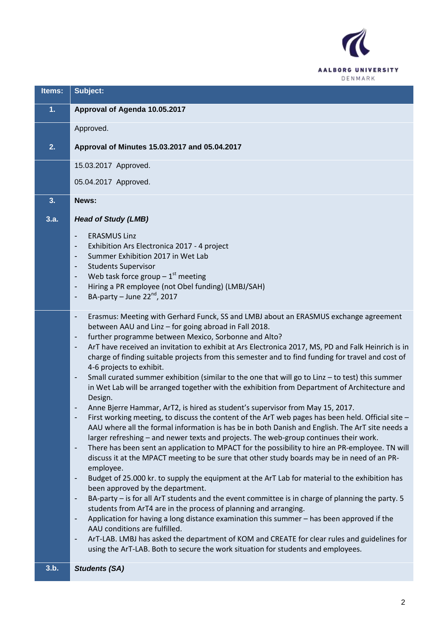

| Items: | Subject:                                                                                                                                                                                                                                                                                      |
|--------|-----------------------------------------------------------------------------------------------------------------------------------------------------------------------------------------------------------------------------------------------------------------------------------------------|
| 1.     | Approval of Agenda 10.05.2017                                                                                                                                                                                                                                                                 |
|        | Approved.                                                                                                                                                                                                                                                                                     |
| 2.     | Approval of Minutes 15.03.2017 and 05.04.2017                                                                                                                                                                                                                                                 |
|        | 15.03.2017 Approved.                                                                                                                                                                                                                                                                          |
|        | 05.04.2017 Approved.                                                                                                                                                                                                                                                                          |
| 3.     | News:                                                                                                                                                                                                                                                                                         |
| 3.a.   | <b>Head of Study (LMB)</b>                                                                                                                                                                                                                                                                    |
|        | <b>ERASMUS Linz</b><br>$\qquad \qquad \blacksquare$<br>Exhibition Ars Electronica 2017 - 4 project<br>$\qquad \qquad \blacksquare$                                                                                                                                                            |
|        | Summer Exhibition 2017 in Wet Lab<br>$\qquad \qquad \blacksquare$                                                                                                                                                                                                                             |
|        | <b>Students Supervisor</b><br>$\overline{\phantom{a}}$<br>Web task force group $-1$ <sup>st</sup> meeting<br>$\qquad \qquad \blacksquare$                                                                                                                                                     |
|        | Hiring a PR employee (not Obel funding) (LMBJ/SAH)<br>BA-party – June $22^{nd}$ , 2017                                                                                                                                                                                                        |
|        |                                                                                                                                                                                                                                                                                               |
|        | Erasmus: Meeting with Gerhard Funck, SS and LMBJ about an ERASMUS exchange agreement<br>$\overline{\phantom{a}}$<br>between AAU and Linz - for going abroad in Fall 2018.                                                                                                                     |
|        | further programme between Mexico, Sorbonne and Alto?<br>-<br>ArT have received an invitation to exhibit at Ars Electronica 2017, MS, PD and Falk Heinrich is in<br>$\overline{\phantom{a}}$                                                                                                   |
|        | charge of finding suitable projects from this semester and to find funding for travel and cost of<br>4-6 projects to exhibit.                                                                                                                                                                 |
|        | Small curated summer exhibition (similar to the one that will go to Linz - to test) this summer<br>in Wet Lab will be arranged together with the exhibition from Department of Architecture and                                                                                               |
|        | Design.<br>Anne Bjerre Hammar, ArT2, is hired as student's supervisor from May 15, 2017.                                                                                                                                                                                                      |
|        | First working meeting, to discuss the content of the ArT web pages has been held. Official site -<br>AAU where all the formal information is has be in both Danish and English. The ArT site needs a<br>larger refreshing - and newer texts and projects. The web-group continues their work. |
|        | There has been sent an application to MPACT for the possibility to hire an PR-employee. TN will<br>$\overline{\phantom{a}}$<br>discuss it at the MPACT meeting to be sure that other study boards may be in need of an PR-<br>employee.                                                       |
|        | Budget of 25.000 kr. to supply the equipment at the ArT Lab for material to the exhibition has<br>$\overline{\phantom{a}}$<br>been approved by the department.                                                                                                                                |
|        | BA-party - is for all ArT students and the event committee is in charge of planning the party. 5                                                                                                                                                                                              |
|        | students from ArT4 are in the process of planning and arranging.<br>Application for having a long distance examination this summer - has been approved if the<br>$\overline{\phantom{a}}$                                                                                                     |
|        | AAU conditions are fulfilled.<br>ArT-LAB. LMBJ has asked the department of KOM and CREATE for clear rules and guidelines for                                                                                                                                                                  |
|        | using the ArT-LAB. Both to secure the work situation for students and employees.                                                                                                                                                                                                              |
| 3.b.   | <b>Students (SA)</b>                                                                                                                                                                                                                                                                          |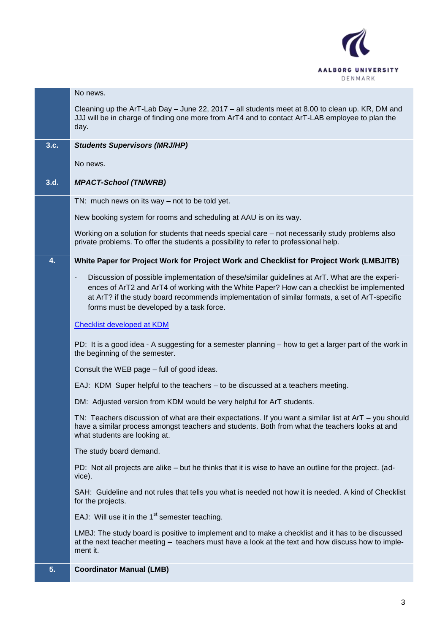

|      | No news.                                                                                                                                                                                                                                                                                                                                                               |
|------|------------------------------------------------------------------------------------------------------------------------------------------------------------------------------------------------------------------------------------------------------------------------------------------------------------------------------------------------------------------------|
|      | Cleaning up the ArT-Lab Day - June 22, 2017 - all students meet at 8.00 to clean up. KR, DM and<br>JJJ will be in charge of finding one more from ArT4 and to contact ArT-LAB employee to plan the<br>day.                                                                                                                                                             |
| 3.c. | <b>Students Supervisors (MRJ/HP)</b>                                                                                                                                                                                                                                                                                                                                   |
|      | No news.                                                                                                                                                                                                                                                                                                                                                               |
| 3.d. | <b>MPACT-School (TN/WRB)</b>                                                                                                                                                                                                                                                                                                                                           |
|      | TN: much news on its way $-$ not to be told yet.                                                                                                                                                                                                                                                                                                                       |
|      | New booking system for rooms and scheduling at AAU is on its way.                                                                                                                                                                                                                                                                                                      |
|      | Working on a solution for students that needs special care - not necessarily study problems also<br>private problems. To offer the students a possibility to refer to professional help.                                                                                                                                                                               |
| 4.   | White Paper for Project Work for Project Work and Checklist for Project Work (LMBJ/TB)                                                                                                                                                                                                                                                                                 |
|      | Discussion of possible implementation of these/similar guidelines at ArT. What are the experi-<br>$\overline{\phantom{a}}$<br>ences of ArT2 and ArT4 of working with the White Paper? How can a checklist be implemented<br>at ArT? if the study board recommends implementation of similar formats, a set of ArT-specific<br>forms must be developed by a task force. |
|      | <b>Checklist developed at KDM</b>                                                                                                                                                                                                                                                                                                                                      |
|      | PD: It is a good idea - A suggesting for a semester planning – how to get a larger part of the work in<br>the beginning of the semester.                                                                                                                                                                                                                               |
|      | Consult the WEB page - full of good ideas.                                                                                                                                                                                                                                                                                                                             |
|      | EAJ: KDM Super helpful to the teachers – to be discussed at a teachers meeting.                                                                                                                                                                                                                                                                                        |
|      | DM: Adjusted version from KDM would be very helpful for ArT students.                                                                                                                                                                                                                                                                                                  |
|      | TN: Teachers discussion of what are their expectations. If you want a similar list at $ArT - you$ should<br>have a similar process amongst teachers and students. Both from what the teachers looks at and<br>what students are looking at.                                                                                                                            |
|      | The study board demand.                                                                                                                                                                                                                                                                                                                                                |
|      | PD: Not all projects are alike – but he thinks that it is wise to have an outline for the project. (ad-<br>vice).                                                                                                                                                                                                                                                      |
|      | SAH: Guideline and not rules that tells you what is needed not how it is needed. A kind of Checklist<br>for the projects.                                                                                                                                                                                                                                              |
|      | EAJ: Will use it in the 1 <sup>st</sup> semester teaching.                                                                                                                                                                                                                                                                                                             |
|      | LMBJ: The study board is positive to implement and to make a checklist and it has to be discussed<br>at the next teacher meeting - teachers must have a look at the text and how discuss how to imple-<br>ment it.                                                                                                                                                     |
| 5.   | <b>Coordinator Manual (LMB)</b>                                                                                                                                                                                                                                                                                                                                        |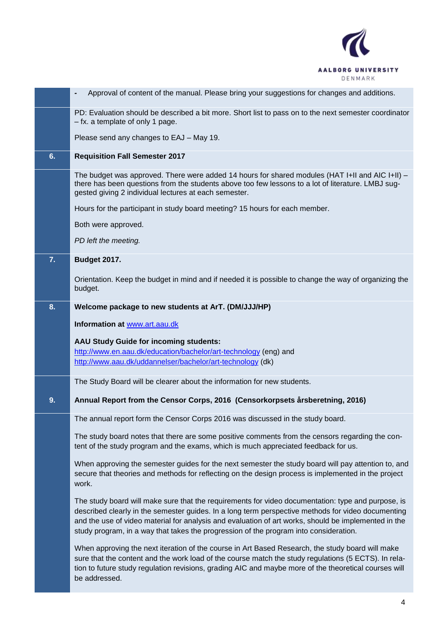

|    | Approval of content of the manual. Please bring your suggestions for changes and additions.<br>$\overline{\phantom{a}}$                                                                                                                                                                                                                                                                                   |
|----|-----------------------------------------------------------------------------------------------------------------------------------------------------------------------------------------------------------------------------------------------------------------------------------------------------------------------------------------------------------------------------------------------------------|
|    | PD: Evaluation should be described a bit more. Short list to pass on to the next semester coordinator<br>- fx. a template of only 1 page.                                                                                                                                                                                                                                                                 |
|    | Please send any changes to EAJ - May 19.                                                                                                                                                                                                                                                                                                                                                                  |
| 6. | <b>Requisition Fall Semester 2017</b>                                                                                                                                                                                                                                                                                                                                                                     |
|    | The budget was approved. There were added 14 hours for shared modules (HAT I+II and AIC I+II) –<br>there has been questions from the students above too few lessons to a lot of literature. LMBJ sug-<br>gested giving 2 individual lectures at each semester.                                                                                                                                            |
|    | Hours for the participant in study board meeting? 15 hours for each member.                                                                                                                                                                                                                                                                                                                               |
|    | Both were approved.                                                                                                                                                                                                                                                                                                                                                                                       |
|    | PD left the meeting.                                                                                                                                                                                                                                                                                                                                                                                      |
| 7. | <b>Budget 2017.</b>                                                                                                                                                                                                                                                                                                                                                                                       |
|    | Orientation. Keep the budget in mind and if needed it is possible to change the way of organizing the<br>budget.                                                                                                                                                                                                                                                                                          |
| 8. | Welcome package to new students at ArT. (DM/JJJ/HP)                                                                                                                                                                                                                                                                                                                                                       |
|    | Information at www.art.aau.dk                                                                                                                                                                                                                                                                                                                                                                             |
|    | AAU Study Guide for incoming students:                                                                                                                                                                                                                                                                                                                                                                    |
|    | http://www.en.aau.dk/education/bachelor/art-technology (eng) and                                                                                                                                                                                                                                                                                                                                          |
|    | http://www.aau.dk/uddannelser/bachelor/art-technology (dk)                                                                                                                                                                                                                                                                                                                                                |
|    | The Study Board will be clearer about the information for new students.                                                                                                                                                                                                                                                                                                                                   |
| 9. | Annual Report from the Censor Corps, 2016 (Censorkorpsets årsberetning, 2016)                                                                                                                                                                                                                                                                                                                             |
|    | The annual report form the Censor Corps 2016 was discussed in the study board.                                                                                                                                                                                                                                                                                                                            |
|    | The study board notes that there are some positive comments from the censors regarding the con-<br>tent of the study program and the exams, which is much appreciated feedback for us.                                                                                                                                                                                                                    |
|    | When approving the semester guides for the next semester the study board will pay attention to, and<br>secure that theories and methods for reflecting on the design process is implemented in the project<br>work.                                                                                                                                                                                       |
|    | The study board will make sure that the requirements for video documentation: type and purpose, is<br>described clearly in the semester guides. In a long term perspective methods for video documenting<br>and the use of video material for analysis and evaluation of art works, should be implemented in the<br>study program, in a way that takes the progression of the program into consideration. |
|    | When approving the next iteration of the course in Art Based Research, the study board will make<br>sure that the content and the work load of the course match the study regulations (5 ECTS). In rela-<br>tion to future study regulation revisions, grading AIC and maybe more of the theoretical courses will<br>be addressed.                                                                        |